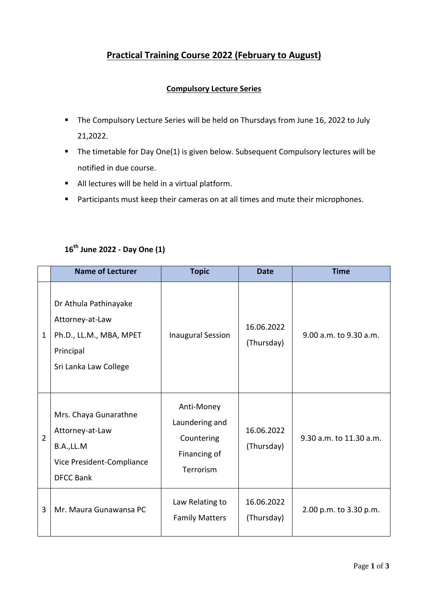# **Practical Training Course 2022 (February to August)**

## **Compulsory Lecture Series**

- **The Compulsory Lecture Series will be held on Thursdays from June 16, 2022 to July** 21,2022.
- The timetable for Day One(1) is given below. Subsequent Compulsory lectures will be notified in due course.
- All lectures will be held in a virtual platform.
- **Participants must keep their cameras on at all times and mute their microphones.**

## **16th June 2022 - Day One (1)**

|                | <b>Name of Lecturer</b>                                                                                   | <b>Topic</b>                                                            | <b>Date</b>              | <b>Time</b>             |
|----------------|-----------------------------------------------------------------------------------------------------------|-------------------------------------------------------------------------|--------------------------|-------------------------|
| $\mathbf{1}$   | Dr Athula Pathinayake<br>Attorney-at-Law<br>Ph.D., LL.M., MBA, MPET<br>Principal<br>Sri Lanka Law College | <b>Inaugural Session</b>                                                | 16.06.2022<br>(Thursday) | 9.00 a.m. to 9.30 a.m.  |
| $\overline{2}$ | Mrs. Chaya Gunarathne<br>Attorney-at-Law<br>B.A.,LL.M<br>Vice President-Compliance<br><b>DFCC Bank</b>    | Anti-Money<br>Laundering and<br>Countering<br>Financing of<br>Terrorism | 16.06.2022<br>(Thursday) | 9.30 a.m. to 11.30 a.m. |
| 3              | Mr. Maura Gunawansa PC                                                                                    | Law Relating to<br><b>Family Matters</b>                                | 16.06.2022<br>(Thursday) | 2.00 p.m. to 3.30 p.m.  |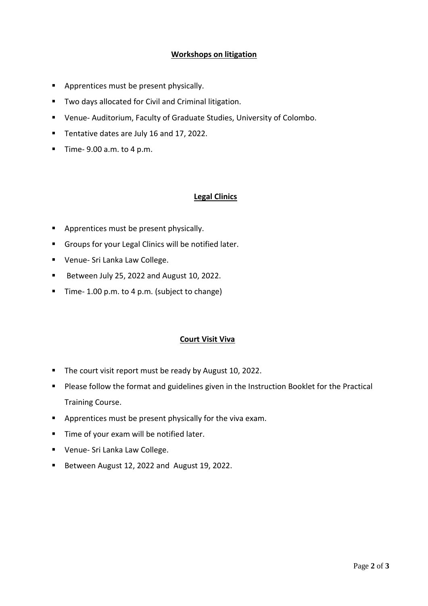## **Workshops on litigation**

- **Apprentices must be present physically.**
- **TWO days allocated for Civil and Criminal litigation.**
- Venue- Auditorium, Faculty of Graduate Studies, University of Colombo.
- Tentative dates are July 16 and 17, 2022.
- $\blacksquare$  Time- 9.00 a.m. to 4 p.m.

#### **Legal Clinics**

- Apprentices must be present physically.
- Groups for your Legal Clinics will be notified later.
- Venue- Sri Lanka Law College.
- Between July 25, 2022 and August 10, 2022.
- Time- 1.00 p.m. to 4 p.m. (subject to change)

#### **Court Visit Viva**

- The court visit report must be ready by August 10, 2022.
- **Please follow the format and guidelines given in the Instruction Booklet for the Practical** Training Course.
- **Apprentices must be present physically for the viva exam.**
- Time of your exam will be notified later.
- Venue- Sri Lanka Law College.
- Between August 12, 2022 and August 19, 2022.